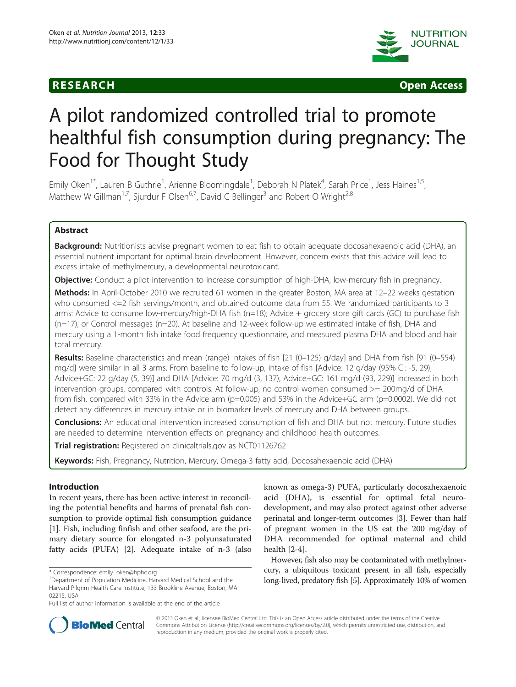

**RESEARCH CHINESE ARCH CHINESE ARCH CHINESE ARCH** 

# A pilot randomized controlled trial to promote healthful fish consumption during pregnancy: The Food for Thought Study

Emily Oken<sup>1\*</sup>, Lauren B Guthrie<sup>1</sup>, Arienne Bloomingdale<sup>1</sup>, Deborah N Platek<sup>4</sup>, Sarah Price<sup>1</sup>, Jess Haines<sup>1,5</sup>, Matthew W Gillman<sup>1,7</sup>, Sjurdur F Olsen<sup>6,7</sup>, David C Bellinger<sup>3</sup> and Robert O Wright<sup>2,8</sup>

# Abstract

**Background:** Nutritionists advise pregnant women to eat fish to obtain adequate docosahexaenoic acid (DHA), an essential nutrient important for optimal brain development. However, concern exists that this advice will lead to excess intake of methylmercury, a developmental neurotoxicant.

**Objective:** Conduct a pilot intervention to increase consumption of high-DHA, low-mercury fish in pregnancy.

Methods: In April-October 2010 we recruited 61 women in the greater Boston, MA area at 12–22 weeks gestation who consumed  $\leq$  fish servings/month, and obtained outcome data from 55. We randomized participants to 3 arms: Advice to consume low-mercury/high-DHA fish (n=18); Advice + grocery store gift cards (GC) to purchase fish (n=17); or Control messages (n=20). At baseline and 12-week follow-up we estimated intake of fish, DHA and mercury using a 1-month fish intake food frequency questionnaire, and measured plasma DHA and blood and hair total mercury.

Results: Baseline characteristics and mean (range) intakes of fish [21 (0–125) g/day] and DHA from fish [91 (0–554) mg/d] were similar in all 3 arms. From baseline to follow-up, intake of fish [Advice: 12 g/day (95% CI: -5, 29), Advice+GC: 22 g/day (5, 39)] and DHA [Advice: 70 mg/d (3, 137), Advice+GC: 161 mg/d (93, 229)] increased in both intervention groups, compared with controls. At follow-up, no control women consumed >= 200mg/d of DHA from fish, compared with 33% in the Advice arm (p=0.005) and 53% in the Advice+GC arm (p=0.0002). We did not detect any differences in mercury intake or in biomarker levels of mercury and DHA between groups.

Conclusions: An educational intervention increased consumption of fish and DHA but not mercury. Future studies are needed to determine intervention effects on pregnancy and childhood health outcomes.

**Trial registration:** Registered on clinicaltrials.gov as [NCT01126762](http://www.clinicaltrials.gov/ct2/show/NCT01126762?term=NCT01126762&rank=1)

Keywords: Fish, Pregnancy, Nutrition, Mercury, Omega-3 fatty acid, Docosahexaenoic acid (DHA)

# Introduction

In recent years, there has been active interest in reconciling the potential benefits and harms of prenatal fish consumption to provide optimal fish consumption guidance [[1\]](#page-9-0). Fish, including finfish and other seafood, are the primary dietary source for elongated n-3 polyunsaturated fatty acids (PUFA) [\[2](#page-9-0)]. Adequate intake of n-3 (also

known as omega-3) PUFA, particularly docosahexaenoic acid (DHA), is essential for optimal fetal neurodevelopment, and may also protect against other adverse perinatal and longer-term outcomes [\[3](#page-9-0)]. Fewer than half of pregnant women in the US eat the 200 mg/day of DHA recommended for optimal maternal and child health [[2-4](#page-9-0)].

However, fish also may be contaminated with methylmercury, a ubiquitous toxicant present in all fish, especially long-lived, predatory fish [\[5](#page-9-0)]. Approximately 10% of women



© 2013 Oken et al.; licensee BioMed Central Ltd. This is an Open Access article distributed under the terms of the Creative Commons Attribution License [\(http://creativecommons.org/licenses/by/2.0\)](http://creativecommons.org/licenses/by/2.0), which permits unrestricted use, distribution, and reproduction in any medium, provided the original work is properly cited.

<sup>\*</sup> Correspondence: [emily\\_oken@hphc.org](mailto:emily_oken@hphc.org) <sup>1</sup>

Department of Population Medicine, Harvard Medical School and the Harvard Pilgrim Health Care Institute, 133 Brookline Avenue, Boston, MA 02215, USA

Full list of author information is available at the end of the article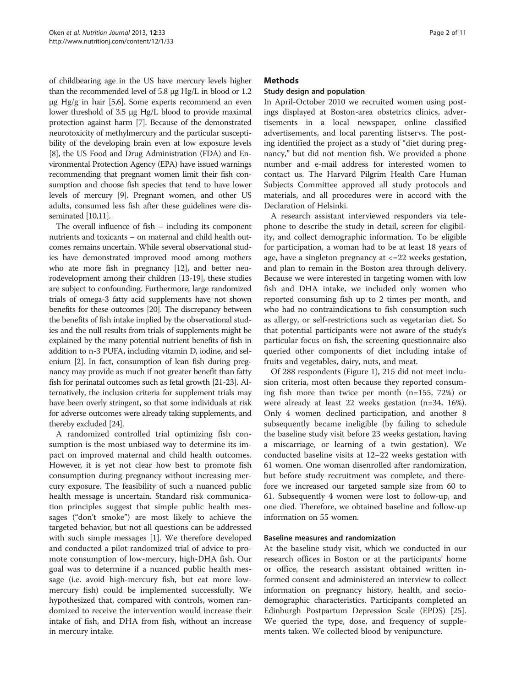of childbearing age in the US have mercury levels higher than the recommended level of 5.8 μg Hg/L in blood or 1.2 μg Hg/g in hair [\[5,6\]](#page-9-0). Some experts recommend an even lower threshold of 3.5 μg Hg/L blood to provide maximal protection against harm [\[7\]](#page-9-0). Because of the demonstrated neurotoxicity of methylmercury and the particular susceptibility of the developing brain even at low exposure levels [[8](#page-9-0)], the US Food and Drug Administration (FDA) and Environmental Protection Agency (EPA) have issued warnings recommending that pregnant women limit their fish consumption and choose fish species that tend to have lower levels of mercury [[9](#page-9-0)]. Pregnant women, and other US adults, consumed less fish after these guidelines were disseminated [\[10,11\]](#page-9-0).

The overall influence of fish – including its component nutrients and toxicants – on maternal and child health outcomes remains uncertain. While several observational studies have demonstrated improved mood among mothers who ate more fish in pregnancy [\[12](#page-9-0)], and better neurodevelopment among their children [\[13-19\]](#page-9-0), these studies are subject to confounding. Furthermore, large randomized trials of omega-3 fatty acid supplements have not shown benefits for these outcomes [\[20\]](#page-9-0). The discrepancy between the benefits of fish intake implied by the observational studies and the null results from trials of supplements might be explained by the many potential nutrient benefits of fish in addition to n-3 PUFA, including vitamin D, iodine, and selenium [[2](#page-9-0)]. In fact, consumption of lean fish during pregnancy may provide as much if not greater benefit than fatty fish for perinatal outcomes such as fetal growth [\[21](#page-9-0)-[23](#page-9-0)]. Alternatively, the inclusion criteria for supplement trials may have been overly stringent, so that some individuals at risk for adverse outcomes were already taking supplements, and thereby excluded [[24](#page-9-0)].

A randomized controlled trial optimizing fish consumption is the most unbiased way to determine its impact on improved maternal and child health outcomes. However, it is yet not clear how best to promote fish consumption during pregnancy without increasing mercury exposure. The feasibility of such a nuanced public health message is uncertain. Standard risk communication principles suggest that simple public health messages ("don't smoke") are most likely to achieve the targeted behavior, but not all questions can be addressed with such simple messages [\[1](#page-9-0)]. We therefore developed and conducted a pilot randomized trial of advice to promote consumption of low-mercury, high-DHA fish. Our goal was to determine if a nuanced public health message (i.e. avoid high-mercury fish, but eat more lowmercury fish) could be implemented successfully. We hypothesized that, compared with controls, women randomized to receive the intervention would increase their intake of fish, and DHA from fish, without an increase in mercury intake.

# Methods

# Study design and population

In April-October 2010 we recruited women using postings displayed at Boston-area obstetrics clinics, advertisements in a local newspaper, online classified advertisements, and local parenting listservs. The posting identified the project as a study of "diet during pregnancy," but did not mention fish. We provided a phone number and e-mail address for interested women to contact us. The Harvard Pilgrim Health Care Human Subjects Committee approved all study protocols and materials, and all procedures were in accord with the Declaration of Helsinki.

A research assistant interviewed responders via telephone to describe the study in detail, screen for eligibility, and collect demographic information. To be eligible for participation, a woman had to be at least 18 years of age, have a singleton pregnancy at <=22 weeks gestation, and plan to remain in the Boston area through delivery. Because we were interested in targeting women with low fish and DHA intake, we included only women who reported consuming fish up to 2 times per month, and who had no contraindications to fish consumption such as allergy, or self-restrictions such as vegetarian diet. So that potential participants were not aware of the study's particular focus on fish, the screening questionnaire also queried other components of diet including intake of fruits and vegetables, dairy, nuts, and meat.

Of 288 respondents (Figure [1](#page-2-0)), 215 did not meet inclusion criteria, most often because they reported consuming fish more than twice per month (n=155, 72%) or were already at least 22 weeks gestation (n=34, 16%). Only 4 women declined participation, and another 8 subsequently became ineligible (by failing to schedule the baseline study visit before 23 weeks gestation, having a miscarriage, or learning of a twin gestation). We conducted baseline visits at 12–22 weeks gestation with 61 women. One woman disenrolled after randomization, but before study recruitment was complete, and therefore we increased our targeted sample size from 60 to 61. Subsequently 4 women were lost to follow-up, and one died. Therefore, we obtained baseline and follow-up information on 55 women.

# Baseline measures and randomization

At the baseline study visit, which we conducted in our research offices in Boston or at the participants' home or office, the research assistant obtained written informed consent and administered an interview to collect information on pregnancy history, health, and sociodemographic characteristics. Participants completed an Edinburgh Postpartum Depression Scale (EPDS) [\[25](#page-9-0)]. We queried the type, dose, and frequency of supplements taken. We collected blood by venipuncture.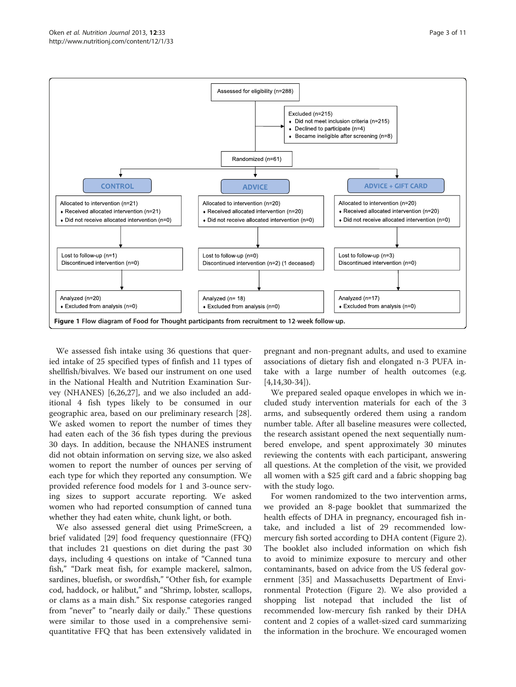<span id="page-2-0"></span>

We assessed fish intake using 36 questions that queried intake of 25 specified types of finfish and 11 types of shellfish/bivalves. We based our instrument on one used in the National Health and Nutrition Examination Survey (NHANES) [[6](#page-9-0),[26](#page-9-0),[27](#page-9-0)], and we also included an additional 4 fish types likely to be consumed in our geographic area, based on our preliminary research [\[28](#page-9-0)]. We asked women to report the number of times they had eaten each of the 36 fish types during the previous 30 days. In addition, because the NHANES instrument did not obtain information on serving size, we also asked women to report the number of ounces per serving of each type for which they reported any consumption. We provided reference food models for 1 and 3-ounce serving sizes to support accurate reporting. We asked women who had reported consumption of canned tuna whether they had eaten white, chunk light, or both.

We also assessed general diet using PrimeScreen, a brief validated [\[29](#page-9-0)] food frequency questionnaire (FFQ) that includes 21 questions on diet during the past 30 days, including 4 questions on intake of "Canned tuna fish," "Dark meat fish, for example mackerel, salmon, sardines, bluefish, or swordfish," "Other fish, for example cod, haddock, or halibut," and "Shrimp, lobster, scallops, or clams as a main dish." Six response categories ranged from "never" to "nearly daily or daily." These questions were similar to those used in a comprehensive semiquantitative FFQ that has been extensively validated in pregnant and non-pregnant adults, and used to examine associations of dietary fish and elongated n-3 PUFA intake with a large number of health outcomes (e.g. [[4,14,30-34](#page-9-0)]).

We prepared sealed opaque envelopes in which we included study intervention materials for each of the 3 arms, and subsequently ordered them using a random number table. After all baseline measures were collected, the research assistant opened the next sequentially numbered envelope, and spent approximately 30 minutes reviewing the contents with each participant, answering all questions. At the completion of the visit, we provided all women with a \$25 gift card and a fabric shopping bag with the study logo.

For women randomized to the two intervention arms, we provided an 8-page booklet that summarized the health effects of DHA in pregnancy, encouraged fish intake, and included a list of 29 recommended lowmercury fish sorted according to DHA content (Figure [2](#page-3-0)). The booklet also included information on which fish to avoid to minimize exposure to mercury and other contaminants, based on advice from the US federal government [[35](#page-9-0)] and Massachusetts Department of Environmental Protection (Figure [2](#page-3-0)). We also provided a shopping list notepad that included the list of recommended low-mercury fish ranked by their DHA content and 2 copies of a wallet-sized card summarizing the information in the brochure. We encouraged women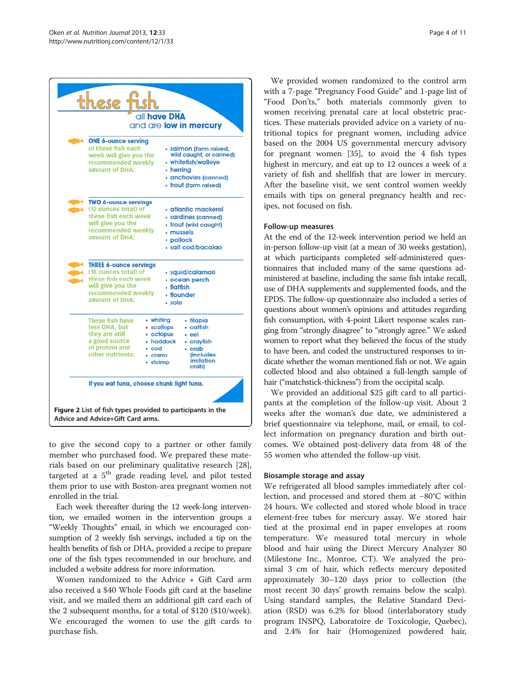<span id="page-3-0"></span>

to give the second copy to a partner or other family member who purchased food. We prepared these materials based on our preliminary qualitative research [\[28](#page-9-0)], targeted at a  $5<sup>th</sup>$  grade reading level, and pilot tested them prior to use with Boston-area pregnant women not enrolled in the trial.

Each week thereafter during the 12 week-long intervention, we emailed women in the intervention groups a "Weekly Thoughts" email, in which we encouraged consumption of 2 weekly fish servings, included a tip on the health benefits of fish or DHA, provided a recipe to prepare one of the fish types recommended in our brochure, and included a website address for more information.

Women randomized to the Advice + Gift Card arm also received a \$40 Whole Foods gift card at the baseline visit, and we mailed them an additional gift card each of the 2 subsequent months, for a total of \$120 (\$10/week). We encouraged the women to use the gift cards to purchase fish.

We provided women randomized to the control arm with a 7-page "Pregnancy Food Guide" and 1-page list of "Food Don'ts," both materials commonly given to women receiving prenatal care at local obstetric practices. These materials provided advice on a variety of nutritional topics for pregnant women, including advice based on the 2004 US governmental mercury advisory for pregnant women [[35\]](#page-9-0), to avoid the 4 fish types highest in mercury, and eat up to 12 ounces a week of a variety of fish and shellfish that are lower in mercury. After the baseline visit, we sent control women weekly emails with tips on general pregnancy health and recipes, not focused on fish.

#### Follow-up measures

At the end of the 12-week intervention period we held an in-person follow-up visit (at a mean of 30 weeks gestation), at which participants completed self-administered questionnaires that included many of the same questions administered at baseline, including the same fish intake recall, use of DHA supplements and supplemented foods, and the EPDS. The follow-up questionnaire also included a series of questions about women's opinions and attitudes regarding fish consumption, with 4-point Likert response scales ranging from "strongly disagree" to "strongly agree." We asked women to report what they believed the focus of the study to have been, and coded the unstructured responses to indicate whether the woman mentioned fish or not. We again collected blood and also obtained a full-length sample of hair ("matchstick-thickness") from the occipital scalp.

We provided an additional \$25 gift card to all participants at the completion of the follow-up visit. About 2 weeks after the woman's due date, we administered a brief questionnaire via telephone, mail, or email, to collect information on pregnancy duration and birth outcomes. We obtained post-delivery data from 48 of the 55 women who attended the follow-up visit.

#### Biosample storage and assay

We refrigerated all blood samples immediately after collection, and processed and stored them at −80°C within 24 hours. We collected and stored whole blood in trace element-free tubes for mercury assay. We stored hair tied at the proximal end in paper envelopes at room temperature. We measured total mercury in whole blood and hair using the Direct Mercury Analyzer 80 (Milestone Inc., Monroe, CT). We analyzed the proximal 3 cm of hair, which reflects mercury deposited approximately 30–120 days prior to collection (the most recent 30 days' growth remains below the scalp). Using standard samples, the Relative Standard Deviation (RSD) was 6.2% for blood (interlaboratory study program INSPQ, Laboratoire de Toxicologie, Quebec), and 2.4% for hair (Homogenized powdered hair,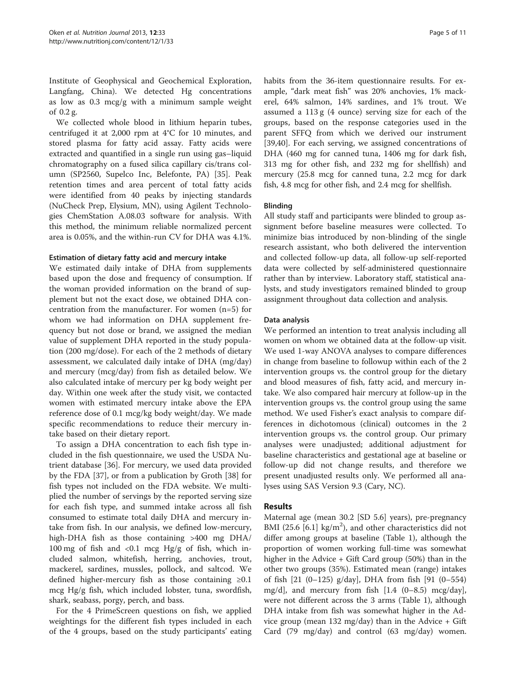Institute of Geophysical and Geochemical Exploration, Langfang, China). We detected Hg concentrations as low as 0.3 mcg/g with a minimum sample weight of 0.2 g.

We collected whole blood in lithium heparin tubes, centrifuged it at 2,000 rpm at 4°C for 10 minutes, and stored plasma for fatty acid assay. Fatty acids were extracted and quantified in a single run using gas–liquid chromatography on a fused silica capillary cis/trans column (SP2560, Supelco Inc, Belefonte, PA) [[35](#page-9-0)]. Peak retention times and area percent of total fatty acids were identified from 40 peaks by injecting standards (NuCheck Prep, Elysium, MN), using Agilent Technologies ChemStation A.08.03 software for analysis. With this method, the minimum reliable normalized percent area is 0.05%, and the within-run CV for DHA was 4.1%.

# Estimation of dietary fatty acid and mercury intake

We estimated daily intake of DHA from supplements based upon the dose and frequency of consumption. If the woman provided information on the brand of supplement but not the exact dose, we obtained DHA concentration from the manufacturer. For women (n=5) for whom we had information on DHA supplement frequency but not dose or brand, we assigned the median value of supplement DHA reported in the study population (200 mg/dose). For each of the 2 methods of dietary assessment, we calculated daily intake of DHA (mg/day) and mercury (mcg/day) from fish as detailed below. We also calculated intake of mercury per kg body weight per day. Within one week after the study visit, we contacted women with estimated mercury intake above the EPA reference dose of 0.1 mcg/kg body weight/day. We made specific recommendations to reduce their mercury intake based on their dietary report.

To assign a DHA concentration to each fish type included in the fish questionnaire, we used the USDA Nutrient database [\[36](#page-9-0)]. For mercury, we used data provided by the FDA [\[37](#page-9-0)], or from a publication by Groth [[38\]](#page-9-0) for fish types not included on the FDA website. We multiplied the number of servings by the reported serving size for each fish type, and summed intake across all fish consumed to estimate total daily DHA and mercury intake from fish. In our analysis, we defined low-mercury, high-DHA fish as those containing >400 mg DHA/ 100 mg of fish and  $\langle 0.1 \rangle$  mcg Hg/g of fish, which included salmon, whitefish, herring, anchovies, trout, mackerel, sardines, mussles, pollock, and saltcod. We defined higher-mercury fish as those containing ≥0.1 mcg Hg/g fish, which included lobster, tuna, swordfish, shark, seabass, porgy, perch, and bass.

For the 4 PrimeScreen questions on fish, we applied weightings for the different fish types included in each of the 4 groups, based on the study participants' eating habits from the 36-item questionnaire results. For example, "dark meat fish" was 20% anchovies, 1% mackerel, 64% salmon, 14% sardines, and 1% trout. We assumed a 113 g (4 ounce) serving size for each of the groups, based on the response categories used in the parent SFFQ from which we derived our instrument [[39,](#page-9-0)[40\]](#page-10-0). For each serving, we assigned concentrations of DHA (460 mg for canned tuna, 1406 mg for dark fish, 313 mg for other fish, and 232 mg for shellfish) and mercury (25.8 mcg for canned tuna, 2.2 mcg for dark fish, 4.8 mcg for other fish, and 2.4 mcg for shellfish.

# Blinding

All study staff and participants were blinded to group assignment before baseline measures were collected. To minimize bias introduced by non-blinding of the single research assistant, who both delivered the intervention and collected follow-up data, all follow-up self-reported data were collected by self-administered questionnaire rather than by interview. Laboratory staff, statistical analysts, and study investigators remained blinded to group assignment throughout data collection and analysis.

# Data analysis

We performed an intention to treat analysis including all women on whom we obtained data at the follow-up visit. We used 1-way ANOVA analyses to compare differences in change from baseline to followup within each of the 2 intervention groups vs. the control group for the dietary and blood measures of fish, fatty acid, and mercury intake. We also compared hair mercury at follow-up in the intervention groups vs. the control group using the same method. We used Fisher's exact analysis to compare differences in dichotomous (clinical) outcomes in the 2 intervention groups vs. the control group. Our primary analyses were unadjusted; additional adjustment for baseline characteristics and gestational age at baseline or follow-up did not change results, and therefore we present unadjusted results only. We performed all analyses using SAS Version 9.3 (Cary, NC).

# Results

Maternal age (mean 30.2 [SD 5.6] years), pre-pregnancy BMI (25.6  $[6.1]$  kg/m<sup>2</sup>), and other characteristics did not differ among groups at baseline (Table [1](#page-5-0)), although the proportion of women working full-time was somewhat higher in the Advice + Gift Card group (50%) than in the other two groups (35%). Estimated mean (range) intakes of fish [21 (0–125) g/day], DHA from fish [91 (0–554) mg/d], and mercury from fish  $[1.4 \ (0-8.5) \ mcg/day]$ , were not different across the 3 arms (Table [1\)](#page-5-0), although DHA intake from fish was somewhat higher in the Advice group (mean 132 mg/day) than in the Advice  $+$  Gift Card (79 mg/day) and control (63 mg/day) women.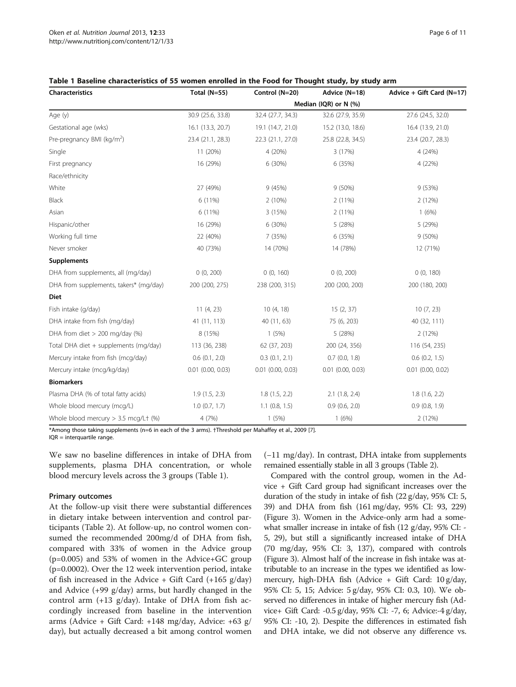<span id="page-5-0"></span>

| Table 1 Baseline characteristics of 55 women enrolled in the Food for Thought study, by study arm |  |
|---------------------------------------------------------------------------------------------------|--|
|---------------------------------------------------------------------------------------------------|--|

| Characteristics                        | Total $(N=55)$        | Control (N=20)        | Advice (N=18)         | Advice + Gift Card (N=17) |  |  |
|----------------------------------------|-----------------------|-----------------------|-----------------------|---------------------------|--|--|
|                                        | Median (IQR) or N (%) |                       |                       |                           |  |  |
| Age (y)                                | 30.9 (25.6, 33.8)     | 32.4 (27.7, 34.3)     | 32.6 (27.9, 35.9)     | 27.6 (24.5, 32.0)         |  |  |
| Gestational age (wks)                  | 16.1 (13.3, 20.7)     | 19.1 (14.7, 21.0)     | 15.2 (13.0, 18.6)     | 16.4 (13.9, 21.0)         |  |  |
| Pre-pregnancy BMI (kg/m <sup>2</sup> ) | 23.4 (21.1, 28.3)     | 22.3 (21.1, 27.0)     | 25.8 (22.8, 34.5)     | 23.4 (20.7, 28.3)         |  |  |
| Single                                 | 11 (20%)              | 4 (20%)               | 3 (17%)               | 4(24%)                    |  |  |
| First pregnancy                        | 16 (29%)              | 6 (30%)               | 6 (35%)               | 4 (22%)                   |  |  |
| Race/ethnicity                         |                       |                       |                       |                           |  |  |
| White                                  | 27 (49%)              | 9(45%)                | 9(50%)                | 9 (53%)                   |  |  |
| <b>Black</b>                           | 6 (11%)               | 2 (10%)               | 2(11%)                | 2 (12%)                   |  |  |
| Asian                                  | 6 (11%)               | 3 (15%)               | 2 (11%)               | 1(6%)                     |  |  |
| Hispanic/other                         | 16 (29%)              | 6 (30%)               | 5 (28%)               | 5 (29%)                   |  |  |
| Working full time                      | 22 (40%)              | 7 (35%)               | 6 (35%)               | $9(50\%)$                 |  |  |
| Never smoker                           | 40 (73%)              | 14 (70%)              | 14 (78%)              | 12 (71%)                  |  |  |
| Supplements                            |                       |                       |                       |                           |  |  |
| DHA from supplements, all (mg/day)     | 0(0, 200)             | 0(0, 160)             | 0(0, 200)             | 0(0, 180)                 |  |  |
| DHA from supplements, takers* (mg/day) | 200 (200, 275)        | 238 (200, 315)        | 200 (200, 200)        | 200 (180, 200)            |  |  |
| <b>Diet</b>                            |                       |                       |                       |                           |  |  |
| Fish intake (g/day)                    | 11(4, 23)             | 10(4, 18)             | 15(2, 37)             | 10(7, 23)                 |  |  |
| DHA intake from fish (mg/day)          | 41 (11, 113)          | 40 (11, 63)           | 75 (6, 203)           | 40 (32, 111)              |  |  |
| DHA from diet $> 200$ mg/day (%)       | 8 (15%)               | 1(5%)                 | 5 (28%)               | 2(12%)                    |  |  |
| Total DHA diet + supplements (mg/day)  | 113 (36, 238)         | 62 (37, 203)          | 200 (24, 356)         | 116 (54, 235)             |  |  |
| Mercury intake from fish (mcg/day)     | 0.6(0.1, 2.0)         | 0.3(0.1, 2.1)         | $0.7$ $(0.0, 1.8)$    | $0.6$ $(0.2, 1.5)$        |  |  |
| Mercury intake (mcg/kg/day)            | $0.01$ $(0.00, 0.03)$ | $0.01$ $(0.00, 0.03)$ | $0.01$ $(0.00, 0.03)$ | $0.01$ $(0.00, 0.02)$     |  |  |
| <b>Biomarkers</b>                      |                       |                       |                       |                           |  |  |
| Plasma DHA (% of total fatty acids)    | 1.9(1.5, 2.3)         | 1.8(1.5, 2.2)         | $2.1$ $(1.8, 2.4)$    | 1.8(1.6, 2.2)             |  |  |
| Whole blood mercury (mcg/L)            | $1.0$ (0.7, 1.7)      | $1.1$ (0.8, 1.5)      | $0.9$ $(0.6, 2.0)$    | $0.9$ $(0.8, 1.9)$        |  |  |
| Whole blood mercury $> 3.5$ mcg/L† (%) | 4 (7%)                | 1(5%)                 | 1(6%)                 | 2 (12%)                   |  |  |

\*Among those taking supplements (n=6 in each of the 3 arms). †Threshold per Mahaffey et al., 2009 [[7\]](#page-9-0).

IQR = interquartile range.

We saw no baseline differences in intake of DHA from supplements, plasma DHA concentration, or whole blood mercury levels across the 3 groups (Table 1).

#### Primary outcomes

At the follow-up visit there were substantial differences in dietary intake between intervention and control participants (Table [2\)](#page-6-0). At follow-up, no control women consumed the recommended 200mg/d of DHA from fish, compared with 33% of women in the Advice group (p=0.005) and 53% of women in the Advice+GC group (p=0.0002). Over the 12 week intervention period, intake of fish increased in the Advice  $+$  Gift Card  $(+165 \text{ g/day})$ and Advice (+99 g/day) arms, but hardly changed in the control arm (+13 g/day). Intake of DHA from fish accordingly increased from baseline in the intervention arms (Advice + Gift Card: +148 mg/day, Advice: +63 g/ day), but actually decreased a bit among control women (−11 mg/day). In contrast, DHA intake from supplements remained essentially stable in all 3 groups (Table [2](#page-6-0)).

Compared with the control group, women in the Advice + Gift Card group had significant increases over the duration of the study in intake of fish (22 g/day, 95% CI: 5, 39) and DHA from fish (161 mg/day, 95% CI: 93, 229) (Figure [3\)](#page-7-0). Women in the Advice-only arm had a somewhat smaller increase in intake of fish (12 g/day, 95% CI: - 5, 29), but still a significantly increased intake of DHA (70 mg/day, 95% CI: 3, 137), compared with controls (Figure [3](#page-7-0)). Almost half of the increase in fish intake was attributable to an increase in the types we identified as lowmercury, high-DHA fish (Advice + Gift Card: 10 g/day, 95% CI: 5, 15; Advice: 5 g/day, 95% CI: 0.3, 10). We observed no differences in intake of higher mercury fish (Advice+ Gift Card: -0.5 g/day, 95% CI: -7, 6; Advice:-4 g/day, 95% CI: -10, 2). Despite the differences in estimated fish and DHA intake, we did not observe any difference vs.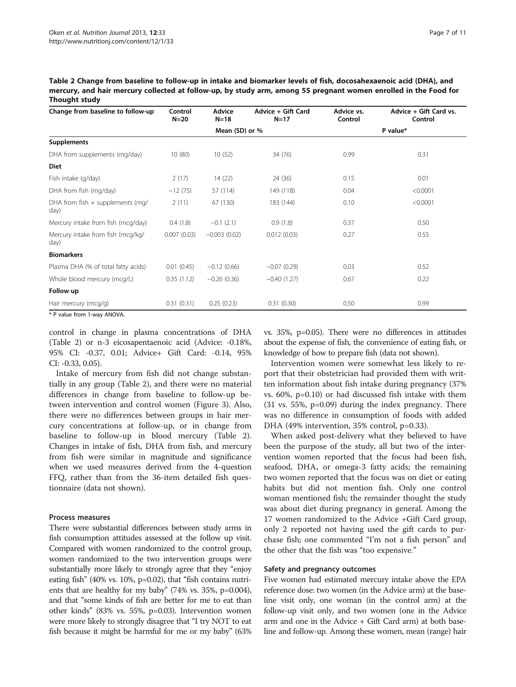<span id="page-6-0"></span>Table 2 Change from baseline to follow-up in intake and biomarker levels of fish, docosahexaenoic acid (DHA), and mercury, and hair mercury collected at follow-up, by study arm, among 55 pregnant women enrolled in the Food for Thought study

| Change from baseline to follow-up          | Control<br>$N=20$ | Advice<br>$N=18$ | Advice + Gift Card<br>$N=17$ | Advice vs.<br>Control | Advice + Gift Card vs.<br>Control |
|--------------------------------------------|-------------------|------------------|------------------------------|-----------------------|-----------------------------------|
|                                            | Mean (SD) or %    |                  |                              | P value*              |                                   |
| <b>Supplements</b>                         |                   |                  |                              |                       |                                   |
| DHA from supplements (mg/day)              | 10(80)            | 10(52)           | 34 (76)                      | 0.99                  | 0.31                              |
| <b>Diet</b>                                |                   |                  |                              |                       |                                   |
| Fish intake (g/day)                        | 2(17)             | 14(22)           | 24 (36)                      | 0.15                  | 0.01                              |
| DHA from fish (mg/day)                     | $-12(75)$         | 57 (114)         | 149 (118)                    | 0.04                  | < 0.0001                          |
| DHA from fish $+$ supplements (mg/<br>day) | 2(11)             | 67 (130)         | 183 (144)                    | 0.10                  | < 0.0001                          |
| Mercury intake from fish (mcg/day)         | 0.4(1.8)          | $-0.1(2.1)$      | 0.9(1.8)                     | 0.37                  | 0.50                              |
| Mercury intake from fish (mcg/kg/<br>day)  | 0.007(0.03)       | $-0.003(0.02)$   | 0.012(0.03)                  | 0.27                  | 0.55                              |
| <b>Biomarkers</b>                          |                   |                  |                              |                       |                                   |
| Plasma DHA (% of total fatty acids)        | 0.01(0.45)        | $-0.12(0.66)$    | $-0.07(0.29)$                | 0.03                  | 0.52                              |
| Whole blood mercury (mcg/L)                | 0.35(1.12)        | $-0.26(0.36)$    | $-0.40(1.27)$                | 0.67                  | 0.22                              |
| Follow-up                                  |                   |                  |                              |                       |                                   |
| Hair mercury (mcg/g)                       | 0.31(0.31)        | 0.25(0.23)       | 0.31(0.30)                   | 0.50                  | 0.99                              |

\* P value from 1-way ANOVA.

control in change in plasma concentrations of DHA (Table 2) or n-3 eicosapentaenoic acid (Advice: -0.18%, 95% CI: -0.37, 0.01; Advice+ Gift Card: -0.14, 95% CI: -0.33, 0.05).

Intake of mercury from fish did not change substantially in any group (Table 2), and there were no material differences in change from baseline to follow-up between intervention and control women (Figure [3](#page-7-0)). Also, there were no differences between groups in hair mercury concentrations at follow-up, or in change from baseline to follow-up in blood mercury (Table 2). Changes in intake of fish, DHA from fish, and mercury from fish were similar in magnitude and significance when we used measures derived from the 4-question FFQ, rather than from the 36-item detailed fish questionnaire (data not shown).

#### Process measures

There were substantial differences between study arms in fish consumption attitudes assessed at the follow up visit. Compared with women randomized to the control group, women randomized to the two intervention groups were substantially more likely to strongly agree that they "enjoy eating fish" (40% vs. 10%, p=0.02), that "fish contains nutrients that are healthy for my baby" (74% vs. 35%, p=0.004), and that "some kinds of fish are better for me to eat than other kinds" (83% vs. 55%, p=0.03). Intervention women were more likely to strongly disagree that "I try NOT to eat fish because it might be harmful for me or my baby" (63% vs. 35%, p=0.05). There were no differences in attitudes about the expense of fish, the convenience of eating fish, or knowledge of how to prepare fish (data not shown).

Intervention women were somewhat less likely to report that their obstetrician had provided them with written information about fish intake during pregnancy (37% vs. 60%, p=0.10) or had discussed fish intake with them (31 vs. 55%, p=0.09) during the index pregnancy. There was no difference in consumption of foods with added DHA (49% intervention, 35% control, p=0.33).

When asked post-delivery what they believed to have been the purpose of the study, all but two of the intervention women reported that the focus had been fish, seafood, DHA, or omega-3 fatty acids; the remaining two women reported that the focus was on diet or eating habits but did not mention fish. Only one control woman mentioned fish; the remainder thought the study was about diet during pregnancy in general. Among the 17 women randomized to the Advice +Gift Card group, only 2 reported not having used the gift cards to purchase fish; one commented "I'm not a fish person" and the other that the fish was "too expensive."

#### Safety and pregnancy outcomes

Five women had estimated mercury intake above the EPA reference dose: two women (in the Advice arm) at the baseline visit only, one woman (in the control arm) at the follow-up visit only, and two women (one in the Advice arm and one in the Advice + Gift Card arm) at both baseline and follow-up. Among these women, mean (range) hair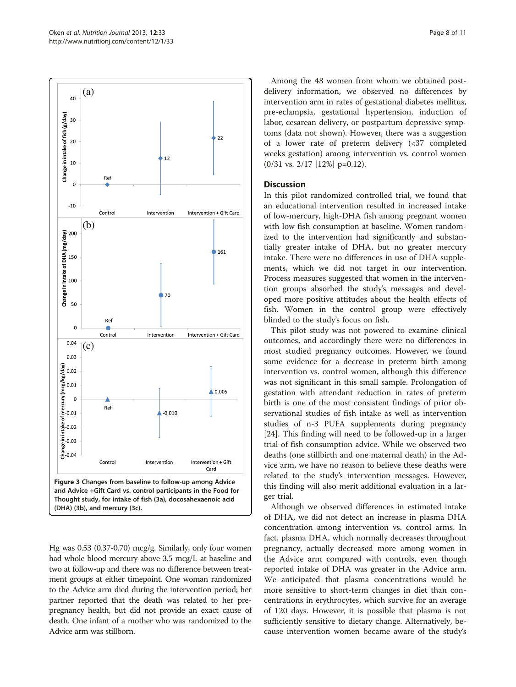<span id="page-7-0"></span>

Hg was 0.53 (0.37-0.70) mcg/g. Similarly, only four women had whole blood mercury above 3.5 mcg/L at baseline and two at follow-up and there was no difference between treatment groups at either timepoint. One woman randomized to the Advice arm died during the intervention period; her partner reported that the death was related to her prepregnancy health, but did not provide an exact cause of death. One infant of a mother who was randomized to the Advice arm was stillborn.

Among the 48 women from whom we obtained postdelivery information, we observed no differences by intervention arm in rates of gestational diabetes mellitus, pre-eclampsia, gestational hypertension, induction of labor, cesarean delivery, or postpartum depressive symptoms (data not shown). However, there was a suggestion of a lower rate of preterm delivery (<37 completed weeks gestation) among intervention vs. control women (0/31 vs. 2/17 [12%] p=0.12).

# **Discussion**

In this pilot randomized controlled trial, we found that an educational intervention resulted in increased intake of low-mercury, high-DHA fish among pregnant women with low fish consumption at baseline. Women randomized to the intervention had significantly and substantially greater intake of DHA, but no greater mercury intake. There were no differences in use of DHA supplements, which we did not target in our intervention. Process measures suggested that women in the intervention groups absorbed the study's messages and developed more positive attitudes about the health effects of fish. Women in the control group were effectively blinded to the study's focus on fish.

This pilot study was not powered to examine clinical outcomes, and accordingly there were no differences in most studied pregnancy outcomes. However, we found some evidence for a decrease in preterm birth among intervention vs. control women, although this difference was not significant in this small sample. Prolongation of gestation with attendant reduction in rates of preterm birth is one of the most consistent findings of prior observational studies of fish intake as well as intervention studies of n-3 PUFA supplements during pregnancy [[24\]](#page-9-0). This finding will need to be followed-up in a larger trial of fish consumption advice. While we observed two deaths (one stillbirth and one maternal death) in the Advice arm, we have no reason to believe these deaths were related to the study's intervention messages. However, this finding will also merit additional evaluation in a larger trial.

Although we observed differences in estimated intake of DHA, we did not detect an increase in plasma DHA concentration among intervention vs. control arms. In fact, plasma DHA, which normally decreases throughout pregnancy, actually decreased more among women in the Advice arm compared with controls, even though reported intake of DHA was greater in the Advice arm. We anticipated that plasma concentrations would be more sensitive to short-term changes in diet than concentrations in erythrocytes, which survive for an average of 120 days. However, it is possible that plasma is not sufficiently sensitive to dietary change. Alternatively, because intervention women became aware of the study's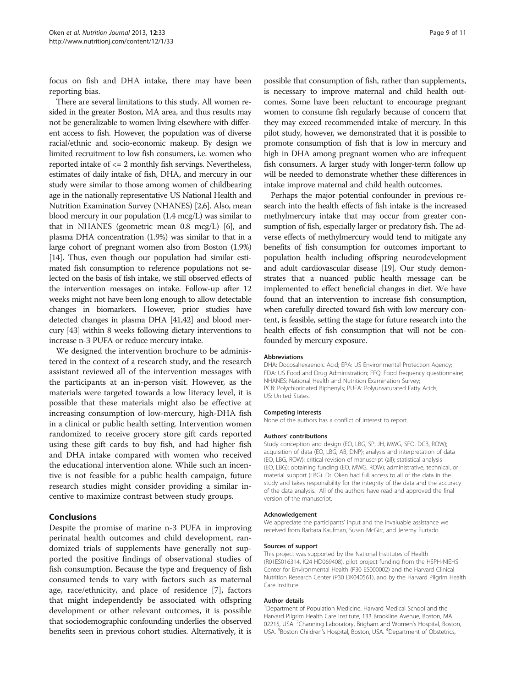focus on fish and DHA intake, there may have been reporting bias.

There are several limitations to this study. All women resided in the greater Boston, MA area, and thus results may not be generalizable to women living elsewhere with different access to fish. However, the population was of diverse racial/ethnic and socio-economic makeup. By design we limited recruitment to low fish consumers, i.e. women who reported intake of <= 2 monthly fish servings. Nevertheless, estimates of daily intake of fish, DHA, and mercury in our study were similar to those among women of childbearing age in the nationally representative US National Health and Nutrition Examination Survey (NHANES) [[2,6](#page-9-0)]. Also, mean blood mercury in our population (1.4 mcg/L) was similar to that in NHANES (geometric mean 0.8 mcg/L) [\[6\]](#page-9-0), and plasma DHA concentration (1.9%) was similar to that in a large cohort of pregnant women also from Boston (1.9%) [[14](#page-9-0)]. Thus, even though our population had similar estimated fish consumption to reference populations not selected on the basis of fish intake, we still observed effects of the intervention messages on intake. Follow-up after 12 weeks might not have been long enough to allow detectable changes in biomarkers. However, prior studies have detected changes in plasma DHA [\[41,42](#page-10-0)] and blood mercury [\[43](#page-10-0)] within 8 weeks following dietary interventions to increase n-3 PUFA or reduce mercury intake.

We designed the intervention brochure to be administered in the context of a research study, and the research assistant reviewed all of the intervention messages with the participants at an in-person visit. However, as the materials were targeted towards a low literacy level, it is possible that these materials might also be effective at increasing consumption of low-mercury, high-DHA fish in a clinical or public health setting. Intervention women randomized to receive grocery store gift cards reported using these gift cards to buy fish, and had higher fish and DHA intake compared with women who received the educational intervention alone. While such an incentive is not feasible for a public health campaign, future research studies might consider providing a similar incentive to maximize contrast between study groups.

#### Conclusions

Despite the promise of marine n-3 PUFA in improving perinatal health outcomes and child development, randomized trials of supplements have generally not supported the positive findings of observational studies of fish consumption. Because the type and frequency of fish consumed tends to vary with factors such as maternal age, race/ethnicity, and place of residence [[7\]](#page-9-0), factors that might independently be associated with offspring development or other relevant outcomes, it is possible that sociodemographic confounding underlies the observed benefits seen in previous cohort studies. Alternatively, it is

possible that consumption of fish, rather than supplements, is necessary to improve maternal and child health outcomes. Some have been reluctant to encourage pregnant women to consume fish regularly because of concern that they may exceed recommended intake of mercury. In this pilot study, however, we demonstrated that it is possible to promote consumption of fish that is low in mercury and high in DHA among pregnant women who are infrequent fish consumers. A larger study with longer-term follow up will be needed to demonstrate whether these differences in intake improve maternal and child health outcomes.

Perhaps the major potential confounder in previous research into the health effects of fish intake is the increased methylmercury intake that may occur from greater consumption of fish, especially larger or predatory fish. The adverse effects of methylmercury would tend to mitigate any benefits of fish consumption for outcomes important to population health including offspring neurodevelopment and adult cardiovascular disease [\[19](#page-9-0)]. Our study demonstrates that a nuanced public health message can be implemented to effect beneficial changes in diet. We have found that an intervention to increase fish consumption, when carefully directed toward fish with low mercury content, is feasible, setting the stage for future research into the health effects of fish consumption that will not be confounded by mercury exposure.

#### Abbreviations

DHA: Docosahexaenoic Acid; EPA: US Environmental Protection Agency; FDA: US Food and Drug Administration; FFQ: Food frequency questionnaire; NHANES: National Health and Nutrition Examination Survey; PCB: Polychlorinated Biphenyls; PUFA: Polyunsaturated Fatty Acids; US: United States.

#### Competing interests

None of the authors has a conflict of interest to report.

#### Authors' contributions

Study conception and design (EO, LBG, SP, JH, MWG, SFO, DCB, ROW); acquisition of data (EO, LBG, AB, DNP); analysis and interpretation of data (EO, LBG, ROW); critical revision of manuscript (all); statistical analysis (EO, LBG); obtaining funding (EO, MWG, ROW); administrative, technical, or material support (LBG). Dr. Oken had full access to all of the data in the study and takes responsibility for the integrity of the data and the accuracy of the data analysis. All of the authors have read and approved the final version of the manuscript.

#### Acknowledgement

We appreciate the participants' input and the invaluable assistance we received from Barbara Kaufman, Susan McGirr, and Jeremy Furtado.

#### Sources of support

This project was supported by the National Institutes of Health (R01ES016314, K24 HD069408), pilot project funding from the HSPH-NIEHS Center for Environmental Health (P30 ES000002) and the Harvard Clinical Nutrition Research Center (P30 DK040561), and by the Harvard Pilgrim Health Care Institute.

#### Author details

<sup>1</sup>Department of Population Medicine, Harvard Medical School and the Harvard Pilgrim Health Care Institute, 133 Brookline Avenue, Boston, MA 02215, USA. <sup>2</sup>Channing Laboratory, Brigham and Women's Hospital, Boston USA. <sup>3</sup>Boston Children's Hospital, Boston, USA. <sup>4</sup>Department of Obstetrics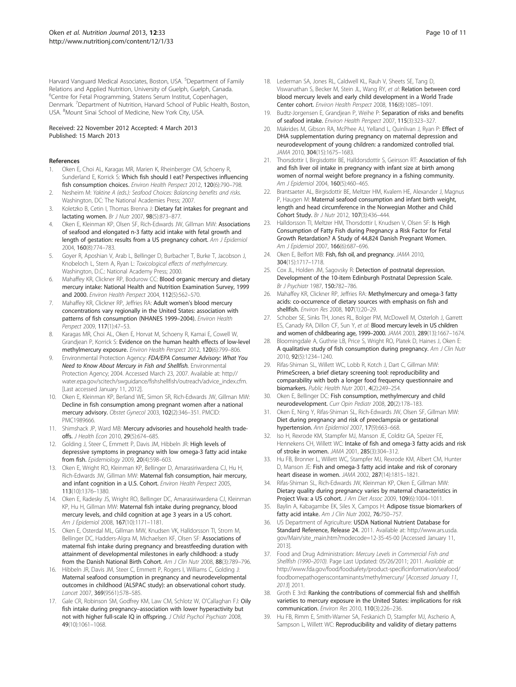<span id="page-9-0"></span>Harvard Vanguard Medical Associates, Boston, USA. <sup>5</sup>Department of Family Relations and Applied Nutrition, University of Guelph, Guelph, Canada. 6 Centre for Fetal Programming, Statens Serum Institut, Copenhagen, Denmark. <sup>7</sup>Department of Nutrition, Harvard School of Public Health, Boston, USA. <sup>8</sup>Mount Sinai School of Medicine, New York City, USA.

#### Received: 22 November 2012 Accepted: 4 March 2013 Published: 15 March 2013

#### References

- Oken E, Choi AL, Karagas MR, Marien K, Rheinberger CM, Schoeny R, Sunderland E, Korrick S: Which fish should I eat? Perspectives influencing fish consumption choices. Environ Health Perspect 2012, 120(6):790-798.
- 2. Nesheim M: Yaktine A (eds.): Seafood Choices: Balancing benefits and risks. Washington, DC: The National Academies Press; 2007.
- 3. Koletzko B, Cetin I, Thomas Brenna J: Dietary fat intakes for pregnant and lactating women. Br J Nutr 2007, 98(5):873–877.
- Oken E, Kleinman KP, Olsen SF, Rich-Edwards JW, Gillman MW: Associations of seafood and elongated n-3 fatty acid intake with fetal growth and length of gestation: results from a US pregnancy cohort. Am J Epidemiol 2004, 160(8):774–783.
- 5. Goyer R, Aposhian V, Arab L, Bellinger D, Burbacher T, Burke T, Jacobson J, Knobeloch L, Stern A, Ryan L: Toxicological effects of methylmercury. Washington, D.C.: National Academy Press; 2000.
- 6. Mahaffey KR, Clickner RP, Bodurow CC: Blood organic mercury and dietary mercury intake: National Health and Nutrition Examination Survey, 1999 and 2000. Environ Health Perspect 2004, 112(5):562–570.
- 7. Mahaffey KR, Clickner RP, Jeffries RA: Adult women's blood mercury concentrations vary regionally in the United States: association with patterns of fish consumption (NHANES 1999–2004). Environ Health Perspect 2009, 117(1):47–53.
- Karagas MR, Choi AL, Oken E, Horvat M, Schoeny R, Kamai E, Cowell W, Grandjean P, Korrick S: Evidence on the human health effects of low-level methylmercury exposure. Environ Health Perspect 2012, 120(6):799–806.
- 9. Environmental Protection Agency: FDA/EPA Consumer Advisory: What You Need to Know About Mercury in Fish and Shellfish. Environmental Protection Agency; 2004. Accessed March 23, 2007. Available at: [http://](http://water.epa.gov/scitech/swguidance/fishshellfish/outreach/advice_index.cfm) [water.epa.gov/scitech/swguidance/fishshellfish/outreach/advice\\_index.cfm](http://water.epa.gov/scitech/swguidance/fishshellfish/outreach/advice_index.cfm). [Last accessed January 11, 2012].
- 10. Oken E, Kleinman KP, Berland WE, Simon SR, Rich-Edwards JW, Gillman MW: Decline in fish consumption among pregnant women after a national mercury advisory. Obstet Gynecol 2003, 102(2):346–351. PMCID: PMC1989666.
- 11. Shimshack JP, Ward MB: Mercury advisories and household health tradeoffs. J Health Econ 2010, 29(5):674–685.
- 12. Golding J, Steer C, Emmett P, Davis JM, Hibbeln JR: High levels of depressive symptoms in pregnancy with low omega-3 fatty acid intake from fish. Epidemiology 2009, 20(4):598–603.
- 13. Oken E, Wright RO, Kleinman KP, Bellinger D, Amarasiriwardena CJ, Hu H, Rich-Edwards JW, Gillman MW: Maternal fish consumption, hair mercury, and infant cognition in a U.S. Cohort. Environ Health Perspect 2005, 113(10):1376–1380.
- 14. Oken E, Radesky JS, Wright RO, Bellinger DC, Amarasiriwardena CJ, Kleinman KP, Hu H, Gillman MW: Maternal fish intake during pregnancy, blood mercury levels, and child cognition at age 3 years in a US cohort. Am J Epidemiol 2008, 167(10):1171–1181.
- 15. Oken E, Osterdal ML, Gillman MW, Knudsen VK, Halldorsson TI, Strom M, Bellinger DC, Hadders-Algra M, Michaelsen KF, Olsen SF: Associations of maternal fish intake during pregnancy and breastfeeding duration with attainment of developmental milestones in early childhood: a study from the Danish National Birth Cohort. Am J Clin Nutr 2008, 88(3):789-796.
- 16. Hibbeln JR, Davis JM, Steer C, Emmett P, Rogers I, Williams C, Golding J: Maternal seafood consumption in pregnancy and neurodevelopmental outcomes in childhood (ALSPAC study): an observational cohort study. Lancet 2007, 369(9561):578–585.
- 17. Gale CR, Robinson SM, Godfrey KM, Law CM, Schlotz W, O'Callaghan FJ: Oily fish intake during pregnancy–association with lower hyperactivity but not with higher full-scale IQ in offspring. J Child Psychol Psychiatr 2008, 49(10):1061–1068.
- 18. Lederman SA, Jones RL, Caldwell KL, Rauh V, Sheets SE, Tang D, Viswanathan S, Becker M, Stein JL, Wang RY, et al: Relation between cord blood mercury levels and early child development in a World Trade Center cohort. Environ Health Perspect 2008, 116(8):1085–1091.
- 19. Budtz-Jorgensen E, Grandjean P, Weihe P: Separation of risks and benefits of seafood intake. Environ Health Perspect 2007, 115(3):323–327.
- 20. Makrides M, Gibson RA, McPhee AJ, Yelland L, Quinlivan J, Ryan P: Effect of DHA supplementation during pregnancy on maternal depression and neurodevelopment of young children: a randomized controlled trial. JAMA 2010, 304(15):1675-1683.
- 21. Thorsdottir I, Birgisdottir BE, Halldorsdottir S, Geirsson RT: Association of fish and fish liver oil intake in pregnancy with infant size at birth among women of normal weight before pregnancy in a fishing community. Am J Epidemiol 2004, 160(5):460–465.
- 22. Brantsaeter AL, Birgisdottir BE, Meltzer HM, Kvalem HE, Alexander J, Magnus P, Haugen M: Maternal seafood consumption and infant birth weight, length and head circumference in the Norwegian Mother and Child Cohort Study. Br J Nutr 2012, 107(3):436–444.
- 23. Halldorsson TI, Meltzer HM, Thorsdottir I, Knudsen V, Olsen SF: Is High Consumption of Fatty Fish during Pregnancy a Risk Factor for Fetal Growth Retardation? A Study of 44,824 Danish Pregnant Women. Am J Epidemiol 2007, 166(6):687–696.
- 24. Oken E, Belfort MB: Fish, fish oil, and pregnancy. JAMA 2010, 304(15):1717–1718.
- 25. Cox JL, Holden JM, Sagovsky R: Detection of postnatal depression. Development of the 10-item Edinburgh Postnatal Depression Scale. Br J Psychiatr 1987, 150:782–786.
- 26. Mahaffey KR, Clickner RP, Jeffries RA: Methylmercury and omega-3 fatty acids: co-occurrence of dietary sources with emphasis on fish and shellfish. Environ Res 2008, 107(1):20–29.
- 27. Schober SE, Sinks TH, Jones RL, Bolger PM, McDowell M, Osterloh J, Garrett ES, Canady RA, Dillon CF, Sun Y, et al: Blood mercury levels in US children and women of childbearing age, 1999–2000. JAMA 2003, 289(13):1667–1674.
- 28. Bloomingdale A, Guthrie LB, Price S, Wright RO, Platek D, Haines J, Oken E: A qualitative study of fish consumption during pregnancy. Am J Clin Nutr 2010, 92(5):1234–1240.
- 29. Rifas-Shiman SL, Willett WC, Lobb R, Kotch J, Dart C, Gillman MW: PrimeScreen, a brief dietary screening tool: reproducibility and comparability with both a longer food frequency questionnaire and biomarkers. Public Health Nutr 2001, 4(2):249–254.
- 30. Oken E, Bellinger DC: Fish consumption, methylmercury and child neurodevelopment. Curr Opin Pediatr 2008, 20(2):178–183.
- 31. Oken E, Ning Y, Rifas-Shiman SL, Rich-Edwards JW, Olsen SF, Gillman MW: Diet during pregnancy and risk of preeclampsia or gestational hypertension. Ann Epidemiol 2007, 17(9):663–668.
- 32. Iso H, Rexrode KM, Stampfer MJ, Manson JE, Colditz GA, Speizer FE, Hennekens CH, Willett WC: Intake of fish and omega-3 fatty acids and risk of stroke in women. JAMA 2001, 285(3):304–312.
- 33. Hu FB, Bronner L, Willett WC, Stampfer MJ, Rexrode KM, Albert CM, Hunter D, Manson JE: Fish and omega-3 fatty acid intake and risk of coronary heart disease in women. JAMA 2002, 287(14):1815–1821.
- 34. Rifas-Shiman SL, Rich-Edwards JW, Kleinman KP, Oken E, Gillman MW: Dietary quality during pregnancy varies by maternal characteristics in Project Viva: a US cohort. J Am Diet Assoc 2009, 109(6):1004–1011.
- 35. Baylin A, Kabagambe EK, Siles X, Campos H: Adipose tissue biomarkers of fatty acid intake. Am J Clin Nutr 2002, 76:750–757.
- 36. US Department of Agriculture: USDA National Nutrient Database for Standard Reference, Release 24. 2011. Available at: [http://www.ars.usda.](http://www.ars.usda.gov/Main/site_main.htm?modecode=12-35-45-00) [gov/Main/site\\_main.htm?modecode=12-35-45-00](http://www.ars.usda.gov/Main/site_main.htm?modecode=12-35-45-00) [Accessed January 11, 2013].
- 37. Food and Drug Administration: Mercury Levels in Commercial Fish and Shellfish (1990–2010). Page Last Updated: 05/26/2011; 2011. Available at: [http://www.fda.gov/food/foodsafety/product-specificinformation/seafood/](http://www.fda.gov/food/foodsafety/product-specificinformation/seafood/foodbornepathogenscontaminants/methylmercury/) [foodbornepathogenscontaminants/methylmercury/](http://www.fda.gov/food/foodsafety/product-specificinformation/seafood/foodbornepathogenscontaminants/methylmercury/) [Accessed January 11, 2013] 2011.
- 38. Groth E 3rd: Ranking the contributions of commercial fish and shellfish varieties to mercury exposure in the United States: implications for risk communication. Environ Res 2010, 110(3):226–236.
- 39. Hu FB, Rimm E, Smith-Warner SA, Feskanich D, Stampfer MJ, Ascherio A, Sampson L, Willett WC: Reproducibility and validity of dietary patterns